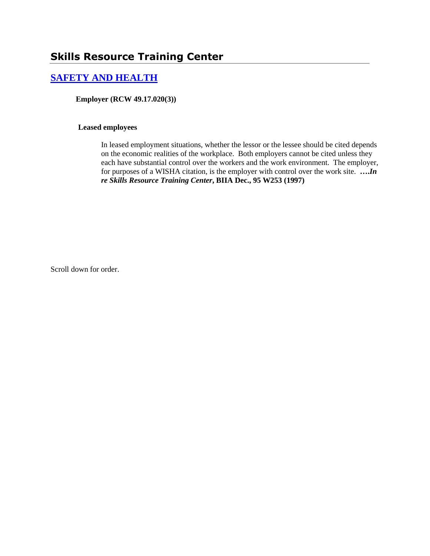# **[SAFETY AND HEALTH](http://www.biia.wa.gov/SDSubjectIndex.html#SAFETY_AND_HEALTH)**

**Employer (RCW 49.17.020(3))**

#### **Leased employees**

In leased employment situations, whether the lessor or the lessee should be cited depends on the economic realities of the workplace. Both employers cannot be cited unless they each have substantial control over the workers and the work environment. The employer, for purposes of a WISHA citation, is the employer with control over the work site. **….***In re Skills Resource Training Center***, BIIA Dec., 95 W253 (1997)** 

Scroll down for order.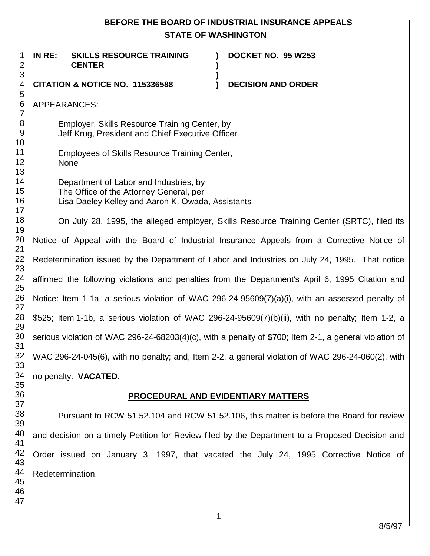# **BEFORE THE BOARD OF INDUSTRIAL INSURANCE APPEALS STATE OF WASHINGTON**

**) )**

**)**

**IN RE: SKILLS RESOURCE TRAINING CENTER**

**DOCKET NO. 95 W253**

4 **CITATION & NOTICE NO. 115336588 ) DECISION AND ORDER** 

APPEARANCES:

1 2 3

Employer, Skills Resource Training Center, by Jeff Krug, President and Chief Executive Officer

Employees of Skills Resource Training Center, None

Department of Labor and Industries, by The Office of the Attorney General, per Lisa Daeley Kelley and Aaron K. Owada, Assistants

32 On July 28, 1995, the alleged employer, Skills Resource Training Center (SRTC), filed its Notice of Appeal with the Board of Industrial Insurance Appeals from a Corrective Notice of Redetermination issued by the Department of Labor and Industries on July 24, 1995. That notice affirmed the following violations and penalties from the Department's April 6, 1995 Citation and Notice: Item 1-1a, a serious violation of WAC 296-24-95609(7)(a)(i), with an assessed penalty of \$525; Item 1-1b, a serious violation of WAC 296-24-95609(7)(b)(ii), with no penalty; Item 1-2, a serious violation of WAC 296-24-68203(4)(c), with a penalty of \$700; Item 2-1, a general violation of WAC 296-24-045(6), with no penalty; and, Item 2-2, a general violation of WAC 296-24-060(2), with no penalty. **VACATED.**

## **PROCEDURAL AND EVIDENTIARY MATTERS**

Pursuant to RCW 51.52.104 and RCW 51.52.106, this matter is before the Board for review and decision on a timely Petition for Review filed by the Department to a Proposed Decision and Order issued on January 3, 1997, that vacated the July 24, 1995 Corrective Notice of Redetermination.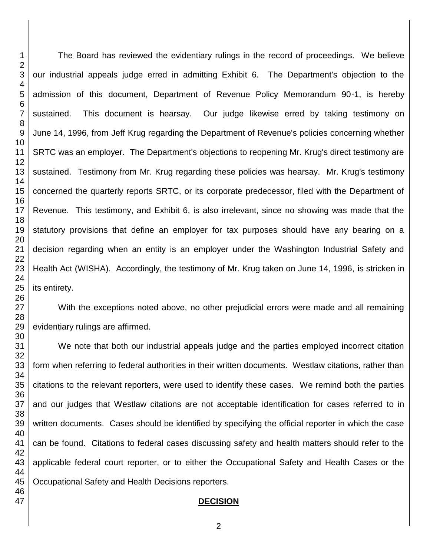The Board has reviewed the evidentiary rulings in the record of proceedings. We believe our industrial appeals judge erred in admitting Exhibit 6. The Department's objection to the admission of this document, Department of Revenue Policy Memorandum 90-1, is hereby sustained. This document is hearsay. Our judge likewise erred by taking testimony on June 14, 1996, from Jeff Krug regarding the Department of Revenue's policies concerning whether SRTC was an employer. The Department's objections to reopening Mr. Krug's direct testimony are sustained. Testimony from Mr. Krug regarding these policies was hearsay. Mr. Krug's testimony concerned the quarterly reports SRTC, or its corporate predecessor, filed with the Department of Revenue. This testimony, and Exhibit 6, is also irrelevant, since no showing was made that the statutory provisions that define an employer for tax purposes should have any bearing on a decision regarding when an entity is an employer under the Washington Industrial Safety and Health Act (WISHA). Accordingly, the testimony of Mr. Krug taken on June 14, 1996, is stricken in its entirety.

With the exceptions noted above, no other prejudicial errors were made and all remaining evidentiary rulings are affirmed.

We note that both our industrial appeals judge and the parties employed incorrect citation form when referring to federal authorities in their written documents. Westlaw citations, rather than citations to the relevant reporters, were used to identify these cases. We remind both the parties and our judges that Westlaw citations are not acceptable identification for cases referred to in written documents. Cases should be identified by specifying the official reporter in which the case can be found. Citations to federal cases discussing safety and health matters should refer to the applicable federal court reporter, or to either the Occupational Safety and Health Cases or the Occupational Safety and Health Decisions reporters.

#### **DECISION**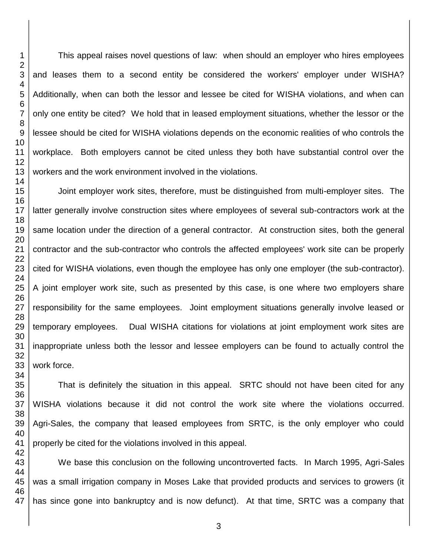This appeal raises novel questions of law: when should an employer who hires employees and leases them to a second entity be considered the workers' employer under WISHA? Additionally, when can both the lessor and lessee be cited for WISHA violations, and when can only one entity be cited? We hold that in leased employment situations, whether the lessor or the lessee should be cited for WISHA violations depends on the economic realities of who controls the workplace. Both employers cannot be cited unless they both have substantial control over the workers and the work environment involved in the violations. Joint employer work sites, therefore, must be distinguished from multi-employer sites. The

latter generally involve construction sites where employees of several sub-contractors work at the same location under the direction of a general contractor. At construction sites, both the general contractor and the sub-contractor who controls the affected employees' work site can be properly cited for WISHA violations, even though the employee has only one employer (the sub-contractor). A joint employer work site, such as presented by this case, is one where two employers share responsibility for the same employees. Joint employment situations generally involve leased or temporary employees. Dual WISHA citations for violations at joint employment work sites are inappropriate unless both the lessor and lessee employers can be found to actually control the work force.

That is definitely the situation in this appeal. SRTC should not have been cited for any WISHA violations because it did not control the work site where the violations occurred. Agri-Sales, the company that leased employees from SRTC, is the only employer who could properly be cited for the violations involved in this appeal.

We base this conclusion on the following uncontroverted facts. In March 1995, Agri-Sales was a small irrigation company in Moses Lake that provided products and services to growers (it has since gone into bankruptcy and is now defunct). At that time, SRTC was a company that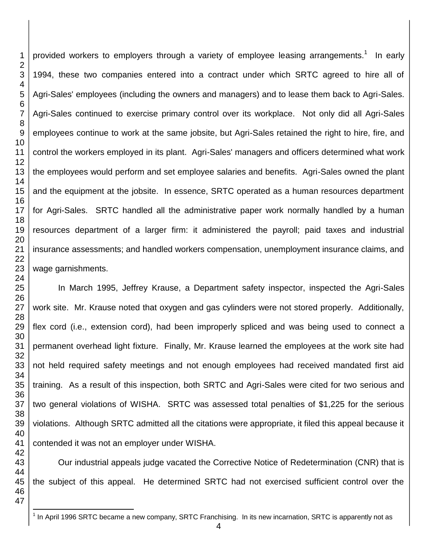provided workers to employers through a variety of employee leasing arrangements.<sup>1</sup> In early 1994, these two companies entered into a contract under which SRTC agreed to hire all of Agri-Sales' employees (including the owners and managers) and to lease them back to Agri-Sales. Agri-Sales continued to exercise primary control over its workplace. Not only did all Agri-Sales employees continue to work at the same jobsite, but Agri-Sales retained the right to hire, fire, and control the workers employed in its plant. Agri-Sales' managers and officers determined what work the employees would perform and set employee salaries and benefits. Agri-Sales owned the plant and the equipment at the jobsite. In essence, SRTC operated as a human resources department for Agri-Sales. SRTC handled all the administrative paper work normally handled by a human resources department of a larger firm: it administered the payroll; paid taxes and industrial insurance assessments; and handled workers compensation, unemployment insurance claims, and wage garnishments.

In March 1995, Jeffrey Krause, a Department safety inspector, inspected the Agri-Sales work site. Mr. Krause noted that oxygen and gas cylinders were not stored properly. Additionally, flex cord (i.e., extension cord), had been improperly spliced and was being used to connect a permanent overhead light fixture. Finally, Mr. Krause learned the employees at the work site had not held required safety meetings and not enough employees had received mandated first aid training. As a result of this inspection, both SRTC and Agri-Sales were cited for two serious and two general violations of WISHA. SRTC was assessed total penalties of \$1,225 for the serious violations. Although SRTC admitted all the citations were appropriate, it filed this appeal because it contended it was not an employer under WISHA.

Our industrial appeals judge vacated the Corrective Notice of Redetermination (CNR) that is the subject of this appeal. He determined SRTC had not exercised sufficient control over the

 $\overline{a}$ In April 1996 SRTC became a new company, SRTC Franchising. In its new incarnation, SRTC is apparently not as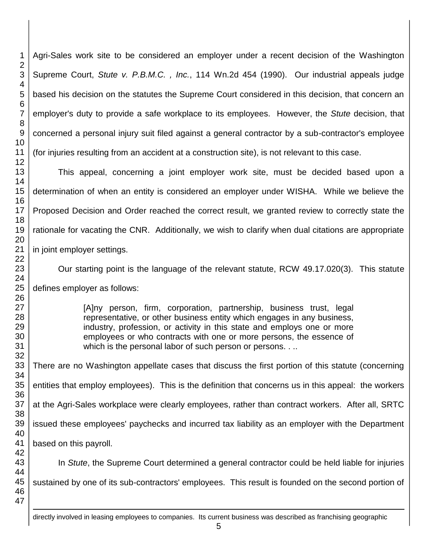Agri-Sales work site to be considered an employer under a recent decision of the Washington Supreme Court, *Stute v. P.B.M.C. , Inc.*, 114 Wn.2d 454 (1990). Our industrial appeals judge based his decision on the statutes the Supreme Court considered in this decision, that concern an employer's duty to provide a safe workplace to its employees. However, the *Stute* decision, that concerned a personal injury suit filed against a general contractor by a sub-contractor's employee (for injuries resulting from an accident at a construction site), is not relevant to this case.

This appeal, concerning a joint employer work site, must be decided based upon a determination of when an entity is considered an employer under WISHA. While we believe the Proposed Decision and Order reached the correct result, we granted review to correctly state the rationale for vacating the CNR. Additionally, we wish to clarify when dual citations are appropriate in joint employer settings.

Our starting point is the language of the relevant statute, RCW 49.17.020(3). This statute

defines employer as follows:

[A]ny person, firm, corporation, partnership, business trust, legal representative, or other business entity which engages in any business, industry, profession, or activity in this state and employs one or more employees or who contracts with one or more persons, the essence of which is the personal labor of such person or persons. . ..

There are no Washington appellate cases that discuss the first portion of this statute (concerning entities that employ employees). This is the definition that concerns us in this appeal: the workers at the Agri-Sales workplace were clearly employees, rather than contract workers. After all, SRTC issued these employees' paychecks and incurred tax liability as an employer with the Department based on this payroll.

In *Stute*, the Supreme Court determined a general contractor could be held liable for injuries sustained by one of its sub-contractors' employees. This result is founded on the second portion of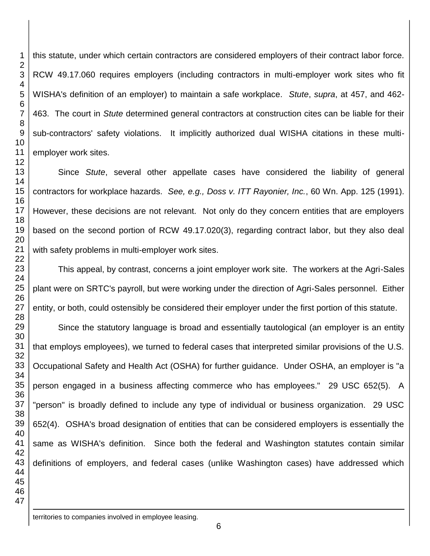this statute, under which certain contractors are considered employers of their contract labor force. RCW 49.17.060 requires employers (including contractors in multi-employer work sites who fit WISHA's definition of an employer) to maintain a safe workplace. *Stute*, *supra*, at 457, and 462- 463. The court in *Stute* determined general contractors at construction cites can be liable for their sub-contractors' safety violations. It implicitly authorized dual WISHA citations in these multiemployer work sites.

Since *Stute*, several other appellate cases have considered the liability of general contractors for workplace hazards. *See, e.g., Doss v. ITT Rayonier, Inc.*, 60 Wn. App. 125 (1991). However, these decisions are not relevant. Not only do they concern entities that are employers based on the second portion of RCW 49.17.020(3), regarding contract labor, but they also deal with safety problems in multi-employer work sites.

This appeal, by contrast, concerns a joint employer work site. The workers at the Agri-Sales plant were on SRTC's payroll, but were working under the direction of Agri-Sales personnel. Either entity, or both, could ostensibly be considered their employer under the first portion of this statute.

Since the statutory language is broad and essentially tautological (an employer is an entity that employs employees), we turned to federal cases that interpreted similar provisions of the U.S. Occupational Safety and Health Act (OSHA) for further guidance. Under OSHA, an employer is "a person engaged in a business affecting commerce who has employees." 29 USC 652(5). A "person" is broadly defined to include any type of individual or business organization. 29 USC 652(4). OSHA's broad designation of entities that can be considered employers is essentially the same as WISHA's definition. Since both the federal and Washington statutes contain similar definitions of employers, and federal cases (unlike Washington cases) have addressed which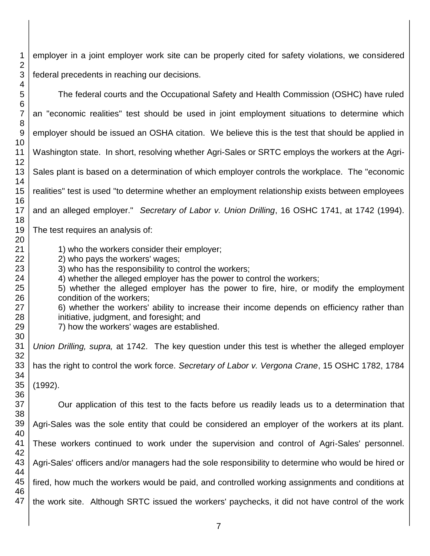employer in a joint employer work site can be properly cited for safety violations, we considered federal precedents in reaching our decisions.

 

 The federal courts and the Occupational Safety and Health Commission (OSHC) have ruled an "economic realities" test should be used in joint employment situations to determine which employer should be issued an OSHA citation. We believe this is the test that should be applied in Washington state. In short, resolving whether Agri-Sales or SRTC employs the workers at the Agri-Sales plant is based on a determination of which employer controls the workplace. The "economic realities" test is used "to determine whether an employment relationship exists between employees and an alleged employer." *Secretary of Labor v. Union Drilling*, 16 OSHC 1741, at 1742 (1994). The test requires an analysis of: 1) who the workers consider their employer; 2) who pays the workers' wages; 3) who has the responsibility to control the workers; 4) whether the alleged employer has the power to control the workers; 5) whether the alleged employer has the power to fire, hire, or modify the employment condition of the workers; 6) whether the workers' ability to increase their income depends on efficiency rather than initiative, judgment, and foresight; and 7) how the workers' wages are established. *Union Drilling, supra,* at 1742. The key question under this test is whether the alleged employer has the right to control the work force. *Secretary of Labor v. Vergona Crane*, 15 OSHC 1782, 1784 (1992). Our application of this test to the facts before us readily leads us to a determination that Agri-Sales was the sole entity that could be considered an employer of the workers at its plant. These workers continued to work under the supervision and control of Agri-Sales' personnel. Agri-Sales' officers and/or managers had the sole responsibility to determine who would be hired or fired, how much the workers would be paid, and controlled working assignments and conditions at the work site. Although SRTC issued the workers' paychecks, it did not have control of the work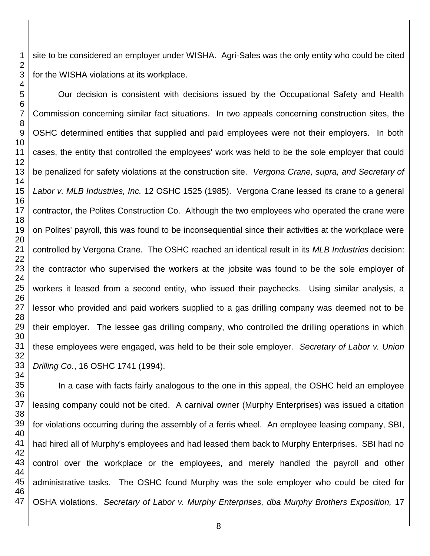site to be considered an employer under WISHA. Agri-Sales was the only entity who could be cited for the WISHA violations at its workplace.

Our decision is consistent with decisions issued by the Occupational Safety and Health Commission concerning similar fact situations. In two appeals concerning construction sites, the OSHC determined entities that supplied and paid employees were not their employers. In both cases, the entity that controlled the employees' work was held to be the sole employer that could be penalized for safety violations at the construction site. *Vergona Crane, supra, and Secretary of Labor v. MLB Industries, Inc.* 12 OSHC 1525 (1985). Vergona Crane leased its crane to a general contractor, the Polites Construction Co. Although the two employees who operated the crane were on Polites' payroll, this was found to be inconsequential since their activities at the workplace were controlled by Vergona Crane. The OSHC reached an identical result in its *MLB Industries* decision: the contractor who supervised the workers at the jobsite was found to be the sole employer of workers it leased from a second entity, who issued their paychecks. Using similar analysis, a lessor who provided and paid workers supplied to a gas drilling company was deemed not to be their employer. The lessee gas drilling company, who controlled the drilling operations in which these employees were engaged, was held to be their sole employer. *Secretary of Labor v. Union Drilling Co.*, 16 OSHC 1741 (1994).

In a case with facts fairly analogous to the one in this appeal, the OSHC held an employee leasing company could not be cited. A carnival owner (Murphy Enterprises) was issued a citation for violations occurring during the assembly of a ferris wheel. An employee leasing company, SBI, had hired all of Murphy's employees and had leased them back to Murphy Enterprises. SBI had no control over the workplace or the employees, and merely handled the payroll and other administrative tasks. The OSHC found Murphy was the sole employer who could be cited for OSHA violations. *Secretary of Labor v. Murphy Enterprises, dba Murphy Brothers Exposition,* 17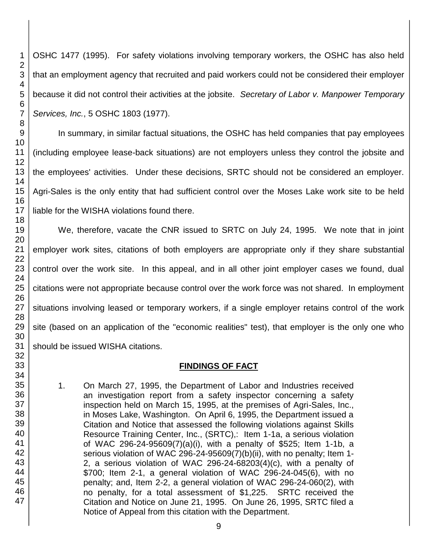OSHC 1477 (1995). For safety violations involving temporary workers, the OSHC has also held that an employment agency that recruited and paid workers could not be considered their employer because it did not control their activities at the jobsite. *Secretary of Labor v. Manpower Temporary Services, Inc.*, 5 OSHC 1803 (1977).

In summary, in similar factual situations, the OSHC has held companies that pay employees (including employee lease-back situations) are not employers unless they control the jobsite and the employees' activities. Under these decisions, SRTC should not be considered an employer. Agri-Sales is the only entity that had sufficient control over the Moses Lake work site to be held liable for the WISHA violations found there.

We, therefore, vacate the CNR issued to SRTC on July 24, 1995. We note that in joint employer work sites, citations of both employers are appropriate only if they share substantial control over the work site. In this appeal, and in all other joint employer cases we found, dual citations were not appropriate because control over the work force was not shared. In employment situations involving leased or temporary workers, if a single employer retains control of the work site (based on an application of the "economic realities" test), that employer is the only one who should be issued WISHA citations.

## **FINDINGS OF FACT**

1. On March 27, 1995, the Department of Labor and Industries received an investigation report from a safety inspector concerning a safety inspection held on March 15, 1995, at the premises of Agri-Sales, Inc., in Moses Lake, Washington. On April 6, 1995, the Department issued a Citation and Notice that assessed the following violations against Skills Resource Training Center, Inc., (SRTC),: Item 1-1a, a serious violation of WAC 296-24-95609(7)(a)(i), with a penalty of \$525; Item 1-1b, a serious violation of WAC 296-24-95609(7)(b)(ii), with no penalty; Item 1- 2, a serious violation of WAC 296-24-68203(4)(c), with a penalty of \$700; Item 2-1, a general violation of WAC 296-24-045(6), with no penalty; and, Item 2-2, a general violation of WAC 296-24-060(2), with no penalty, for a total assessment of \$1,225. SRTC received the Citation and Notice on June 21, 1995. On June 26, 1995, SRTC filed a Notice of Appeal from this citation with the Department.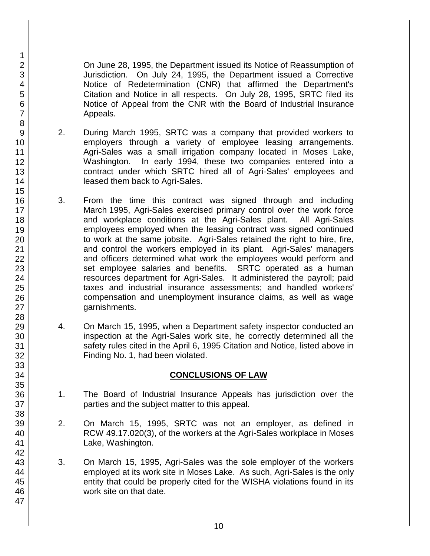On June 28, 1995, the Department issued its Notice of Reassumption of Jurisdiction. On July 24, 1995, the Department issued a Corrective Notice of Redetermination (CNR) that affirmed the Department's Citation and Notice in all respects. On July 28, 1995, SRTC filed its Notice of Appeal from the CNR with the Board of Industrial Insurance Appeals.

- 2. During March 1995, SRTC was a company that provided workers to employers through a variety of employee leasing arrangements. Agri-Sales was a small irrigation company located in Moses Lake, Washington. In early 1994, these two companies entered into a contract under which SRTC hired all of Agri-Sales' employees and leased them back to Agri-Sales.
- 3. From the time this contract was signed through and including March 1995, Agri-Sales exercised primary control over the work force and workplace conditions at the Agri-Sales plant. All Agri-Sales employees employed when the leasing contract was signed continued to work at the same jobsite. Agri-Sales retained the right to hire, fire, and control the workers employed in its plant. Agri-Sales' managers and officers determined what work the employees would perform and set employee salaries and benefits. SRTC operated as a human resources department for Agri-Sales. It administered the payroll; paid taxes and industrial insurance assessments; and handled workers' compensation and unemployment insurance claims, as well as wage garnishments.
- 4. On March 15, 1995, when a Department safety inspector conducted an inspection at the Agri-Sales work site, he correctly determined all the safety rules cited in the April 6, 1995 Citation and Notice, listed above in Finding No. 1, had been violated.

## **CONCLUSIONS OF LAW**

- 1. The Board of Industrial Insurance Appeals has jurisdiction over the parties and the subject matter to this appeal.
- 2. On March 15, 1995, SRTC was not an employer, as defined in RCW 49.17.020(3), of the workers at the Agri-Sales workplace in Moses Lake, Washington.
- 3. On March 15, 1995, Agri-Sales was the sole employer of the workers employed at its work site in Moses Lake. As such, Agri-Sales is the only entity that could be properly cited for the WISHA violations found in its work site on that date.